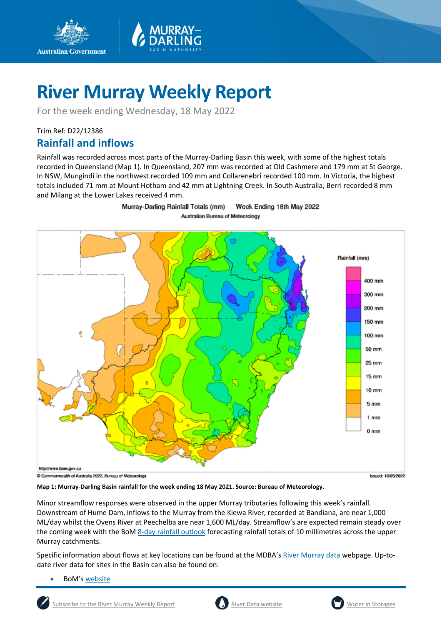

For the week ending Wednesday, 18 May 2022

## Trim Ref: D22/12386

**Australian Government** 

## **Rainfall and inflows**

Rainfall was recorded across most parts of the Murray-Darling Basin this week, with some of the highest totals recorded in Queensland (Map 1). In Queensland, 207 mm was recorded at Old Cashmere and 179 mm at St George. In NSW, Mungindi in the northwest recorded 109 mm and Collarenebri recorded 100 mm. In Victoria, the highest totals included 71 mm at Mount Hotham and 42 mm at Lightning Creek. In South Australia, Berri recorded 8 mm and Milang at the Lower Lakes received 4 mm.



Murray-Darling Rainfall Totals (mm) Week Ending 18th May 2022 Australian Bureau of Meteorology

C Commonwealth of Australia 2022, Bureau of Meteorology



**Map 1: Murray-Darling Basin rainfall for the week ending 18 May 2021. Source: Bureau of Meteorology.**

Minor streamflow responses were observed in the upper Murray tributaries following this week's rainfall. Downstream of Hume Dam, inflows to the Murray from the Kiewa River, recorded at Bandiana, are near 1,000 ML/day whilst the Ovens River at Peechelba are near 1,600 ML/day. Streamflow's are expected remain steady over the coming week with the Bo[M 8-day rainfall outlook](http://www.bom.gov.au/jsp/watl/rainfall/pme.jsp) forecasting rainfall totals of 10 millimetres across the upper Murray catchments.

Specific information about flows at key locations can be found at the MDBA's [River Murray data](https://riverdata.mdba.gov.au/system-view) webpage. Up-todate river data for sites in the Basin can also be found on:

BoM's [website](http://www.bom.gov.au/cgi-bin/wrap_fwo.pl?IDV60151.html)



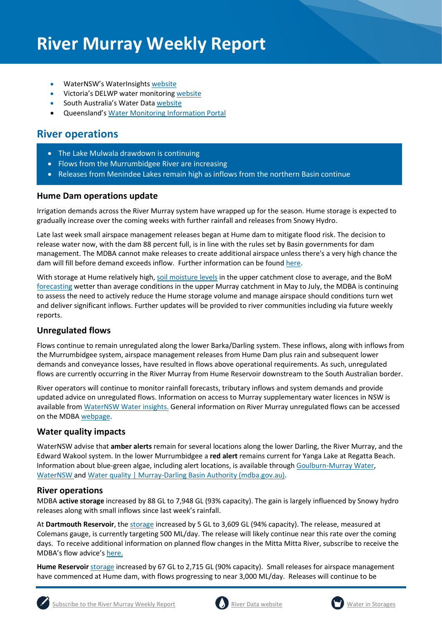- WaterNSW's WaterInsights [website](https://waterinsights.waternsw.com.au/)
- Victoria's DELWP water monitoring [website](https://data.water.vic.gov.au/)
- South Australia's Water Data [website](https://water.data.sa.gov.au/Data/Map/Parameter/NoParameter/Location/Type/Interval/Latest)
- Queensland's [Water Monitoring Information Portal](https://water-monitoring.information.qld.gov.au/)

## **River operations**

- The Lake Mulwala drawdown is continuing
- Flows from the Murrumbidgee River are increasing
- Releases from Menindee Lakes remain high as inflows from the northern Basin continue

## **Hume Dam operations update**

Irrigation demands across the River Murray system have wrapped up for the season. Hume storage is expected to gradually increase over the coming weeks with further rainfall and releases from Snowy Hydro.

Late last week small airspace management releases began at Hume dam to mitigate flood risk. The decision to release water now, with the dam 88 percent full, is in line with the rules set by Basin governments for dam management. The MDBA cannot make releases to create additional airspace unless there's a very high chance the dam will fill before demand exceeds inflow. Further information can be foun[d here.](https://www.mdba.gov.au/news-media-events/newsroom/media-centre/small-releases-start-hume-dam-mitigate-flood-risk)

With storage at Hume relatively high[, soil moisture levels](http://www.bom.gov.au/water/landscape/#/s0/Relative/day/-34.16/147.86/6/Point/Separate/-27.4/143.8/2022/5/1/) in the upper catchment close to average, and the BoM [forecasting](http://www.bom.gov.au/climate/outlooks/#/rainfall/median/seasonal/1) wetter than average conditions in the upper Murray catchment in May to July, the MDBA is continuing to assess the need to actively reduce the Hume storage volume and manage airspace should conditions turn wet and deliver significant inflows. Further updates will be provided to river communities including via future weekly reports.

## **Unregulated flows**

Flows continue to remain unregulated along the lower Barka/Darling system. These inflows, along with inflows from the Murrumbidgee system, airspace management releases from Hume Dam plus rain and subsequent lower demands and conveyance losses, have resulted in flows above operational requirements. As such, unregulated flows are currently occurring in the River Murray from Hume Reservoir downstream to the South Australian border.

River operators will continue to monitor rainfall forecasts, tributary inflows and system demands and provide updated advice on unregulated flows. Information on access to Murray supplementary water licences in NSW is available from [WaterNSW Water insights.](https://waterinsights.waternsw.com.au/11904-new-south-wales-murray-regulated-river/updates) General information on River Murray unregulated flows can be accessed on the MDB[A webpage.](https://www.mdba.gov.au/water-management/allocations-states-mdba/unregulated-flows-river-murray)

## **Water quality impacts**

WaterNSW advise that **amber alerts** remain for several locations along the lower Darling, the River Murray, and the Edward Wakool system. In the lower Murrumbidgee a **red alert** remains current for Yanga Lake at Regatta Beach. Information about blue-green algae, including alert locations, is available throug[h Goulburn-Murray Water,](https://www.g-mwater.com.au/news/bga) [WaterNSW](https://www.waternsw.com.au/water-quality/algae) and [Water quality | Murray-Darling Basin Authority \(mdba.gov.au\).](https://www.mdba.gov.au/water-management/mdbas-river-operations/water-quality)

## **River operations**

MDBA **active storage** increased by 88 GL to 7,948 GL (93% capacity). The gain is largely influenced by Snowy hydro releases along with small inflows since last week's rainfall.

At **Dartmouth Reservoir**, the [storage](https://riverdata.mdba.gov.au/dartmouth-dam) increased by 5 GL to 3,609 GL (94% capacity). The release, measured at Colemans gauge, is currently targeting 500 ML/day. The release will likely continue near this rate over the coming days. To receive additional information on planned flow changes in the Mitta Mitta River, subscribe to receive the MDBA's flow advice'[s here.](https://www.mdba.gov.au/water-management/murray-darling-reports-data/flow-advice) 

**Hume Reservoir** [storage](https://livedata.mdba.gov.au/hume-dam) increased by 67 GL to 2,715 GL (90% capacity). Small releases for airspace management have commenced at Hume dam, with flows progressing to near 3,000 ML/day. Releases will continue to be





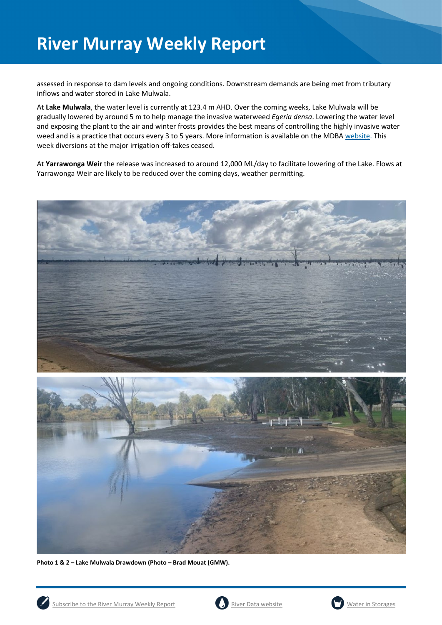assessed in response to dam levels and ongoing conditions. Downstream demands are being met from tributary inflows and water stored in Lake Mulwala.

At **Lake Mulwala**, the water level is currently at 123.4 m AHD. Over the coming weeks, Lake Mulwala will be gradually lowered by around 5 m to help manage the invasive waterweed *Egeria densa*. Lowering the water level and exposing the plant to the air and winter frosts provides the best means of controlling the highly invasive water weed and is a practice that occurs every 3 to 5 years. More information is available on the MDBA [website.](https://www.mdba.gov.au/news-media-events/newsroom/media-centre/joint-media-release-lowering-lake-mulwala-yarrawonga-begin) This week diversions at the major irrigation off-takes ceased.

At **Yarrawonga Weir** the release was increased to around 12,000 ML/day to facilitate lowering of the Lake. Flows at Yarrawonga Weir are likely to be reduced over the coming days, weather permitting.





**Photo 1 & 2 – Lake Mulwala Drawdown (Photo – Brad Mouat (GMW).** 





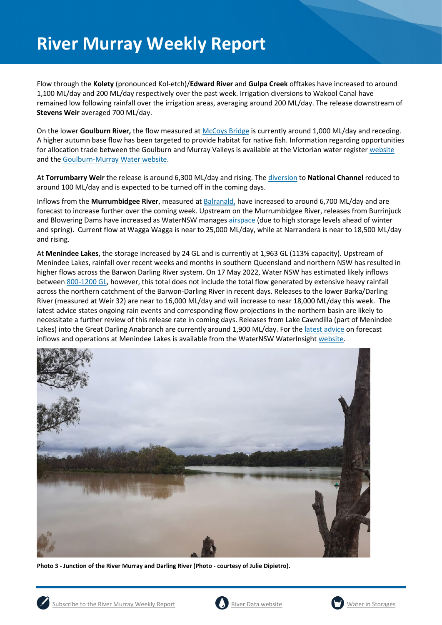Flow through the **Kolety** (pronounced Kol-etch)/**Edward River** and **Gulpa Creek** offtakes have increased to around 1,100 ML/day and 200 ML/day respectively over the past week. Irrigation diversions to Wakool Canal have remained low following rainfall over the irrigation areas, averaging around 200 ML/day. The release downstream of **Stevens Weir** averaged 700 ML/day.

On the lower **Goulburn River,** the flow measured a[t McCoys Bridge](https://riverdata.mdba.gov.au/mccoy-bridge) is currently around 1,000 ML/day and receding. A higher autumn base flow has been targeted to provide habitat for native fish. Information regarding opportunities for allocation trade between the Goulburn and Murray Valleys is available at the Victorian water register [website](http://waterregister.vic.gov.au/water-trading/allocation-trading) and the [Goulburn-Murray Water website.](https://www.g-mwater.com.au/water-resources/managing-water-storages)

At **Torrumbarry Weir** the release is around 6,300 ML/day and rising. Th[e diversion](https://riverdata.mdba.gov.au/national-channel-ds-torrumbarry-headworks) to **National Channel** reduced to around 100 ML/day and is expected to be turned off in the coming days.

Inflows from the **Murrumbidgee River**, measured a[t Balranald,](https://riverdata.mdba.gov.au/balranald-weir-downstream) have increased to around 6,700 ML/day and are forecast to increase further over the coming week. Upstream on the Murrumbidgee River, releases from Burrinjuck and Blowering Dams have increased as WaterNSW manage[s airspace](https://waterinsights.waternsw.com.au/11982-murrumbidgee-regulated-river/updates) (due to high storage levels ahead of winter and spring). Current flow at Wagga Wagga is near to 25,000 ML/day, while at Narrandera is near to 18,500 ML/day and rising.

At **Menindee Lakes**, the storage increased by 24 GL and is currently at 1,963 GL (113% capacity). Upstream of Menindee Lakes, rainfall over recent weeks and months in southern Queensland and northern NSW has resulted in higher flows across the Barwon Darling River system. On 17 May 2022, Water NSW has estimated likely inflows between 800-1200 GL, however, this total does not include the total flow generated by extensive heavy rainfall across the northern catchment of the Barwon-Darling River in recent days. Releases to the lower Barka/Darling River (measured at Weir 32) are near to 16,000 ML/day and will increase to near 18,000 ML/day this week. The latest advice states ongoing rain events and corresponding flow projections in the northern basin are likely to necessitate a further review of this release rate in coming days. Releases from Lake Cawndilla (part of Menindee Lakes) into the Great Darling Anabranch are currently around 1,900 ML/day. For the [latest advice](https://www.waternsw.com.au/about/newsroom/2022/menindee-lakes-releases-increase-as-inflows-continue) on forecast inflows and operations at Menindee Lakes is available from the WaterNSW WaterInsight [website.](https://waterinsights.waternsw.com.au/12104-lower-darling-regulated-river/updates)



**Photo 3 - Junction of the River Murray and Darling River (Photo - courtesy of Julie Dipietro).** 



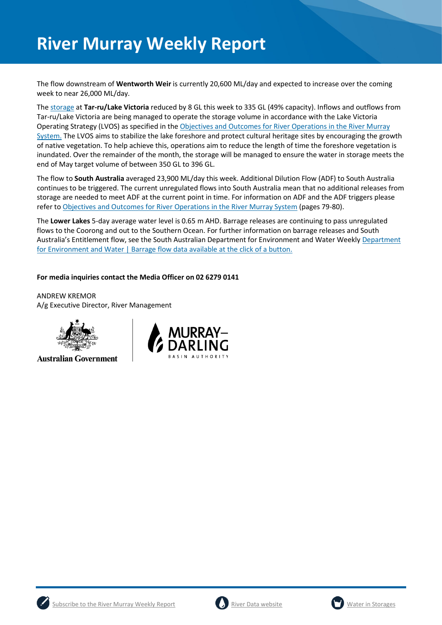The flow downstream of **Wentworth Weir** is currently 20,600 ML/day and expected to increase over the coming week to near 26,000 ML/day.

The [storage](https://riverdata.mdba.gov.au/lake-victoria) at **Tar-ru/Lake Victoria** reduced by 8 GL this week to 335 GL (49% capacity). Inflows and outflows from Tar-ru/Lake Victoria are being managed to operate the storage volume in accordance with the Lake Victoria Operating Strategy (LVOS) as specified in th[e Objectives and Outcomes for River Operations in the River Murray](https://www.mdba.gov.au/publications/mdba-reports/objectives-outcomes-river-operations-river-murray-system)  [System.](https://www.mdba.gov.au/publications/mdba-reports/objectives-outcomes-river-operations-river-murray-system) The LVOS aims to stabilize the lake foreshore and protect cultural heritage sites by encouraging the growth of native vegetation. To help achieve this, operations aim to reduce the length of time the foreshore vegetation is inundated. Over the remainder of the month, the storage will be managed to ensure the water in storage meets the end of May target volume of between 350 GL to 396 GL.

The flow to **South Australia** averaged 23,900 ML/day this week. Additional Dilution Flow (ADF) to South Australia continues to be triggered. The current unregulated flows into South Australia mean that no additional releases from storage are needed to meet ADF at the current point in time. For information on ADF and the ADF triggers please refer t[o Objectives and Outcomes for River Operations in the River Murray System](https://www.mdba.gov.au/publications/mdba-reports/objectives-outcomes-river-operations-river-murray-system) (pages 79-80).

The **Lower Lakes** 5-day average water level is 0.65 m AHD. Barrage releases are continuing to pass unregulated flows to the Coorong and out to the Southern Ocean. For further information on barrage releases and South Australia's Entitlement flow, see the South Australian Department for Environment and Water Weekly [Department](https://www.environment.sa.gov.au/news-hub/news/articles/2021/11/Daily-barrage-data)  [for Environment and Water | Barrage flow data available at the click of a button.](https://www.environment.sa.gov.au/news-hub/news/articles/2021/11/Daily-barrage-data)

## **For media inquiries contact the Media Officer on 02 6279 0141**

ANDREW KREMOR A/g Executive Director, River Management



**Australian Government** 







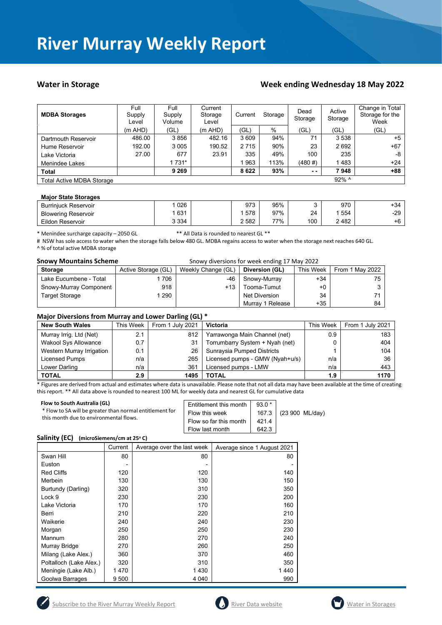## Water in Storage **Week ending Wednesday 18 May 2022**

| <b>MDBA Storages</b>             | Full<br>Supply<br>Level | Full<br>Supply<br>Volume | Current<br>Storage<br>Level | Current | Storage | Dead<br>Storage | Active<br>Storage | Change in Total<br>Storage for the<br>Week |
|----------------------------------|-------------------------|--------------------------|-----------------------------|---------|---------|-----------------|-------------------|--------------------------------------------|
|                                  | $(m$ AHD)               | (GL)                     | $(m$ AHD)                   | 'GL)    | %       | (GL)            | (GL)              | (GL)                                       |
| Dartmouth Reservoir              | 486.00                  | 3856                     | 482.16                      | 3 609   | 94%     | 71              | 3 5 3 8           | $+5$                                       |
| Hume Reservoir                   | 192.00                  | 3 0 0 5                  | 190.52                      | 2 7 1 5 | 90%     | 23              | 2692              | $+67$                                      |
| Lake Victoria                    | 27.00                   | 677                      | 23.91                       | 335     | 49%     | 100             | 235               | -8                                         |
| Menindee Lakes                   |                         | 1 731*                   |                             | 963     | 113%    | $(480 \#)$      | 1483              | $+24$                                      |
| <b>Total</b>                     |                         | 9 2 6 9                  |                             | 8622    | 93%     | $ -$            | 7948              | $+88$                                      |
| <b>Total Active MDBA Storage</b> |                         |                          |                             |         |         |                 | 92% ^             |                                            |

### **Major State Storages**

| <b>Burriniuck Reservoir</b> | 026   | 973     | 95% |     | 970  | +34   |
|-----------------------------|-------|---------|-----|-----|------|-------|
| <b>Blowering Reservoir</b>  | 631   | 578     | 97% | 24  | 554  | $-29$ |
| Eildon Reservoir            | 3 334 | 2 5 8 2 | 77% | 100 | 2482 | +6    |

\* Menindee surcharge capacity – 2050 GL \*\* All Data is rounded to nearest GL \*\*

# NSW has sole access to water when the storage falls below 480 GL. MDBA regains access to water when the storage next reaches 640 GL. ^ % of total active MDBA storage

**Snowy Mountains Scheme Snowy diversions for week ending 17 May 2022** 

| <b>Storage</b>         | Active Storage (GL) | Weekly Change (GL) | Diversion (GL)   | This Week | From 1 May 2022 |
|------------------------|---------------------|--------------------|------------------|-----------|-----------------|
| Lake Eucumbene - Total | 706                 | -46                | Snowy-Murray     | +34       | 75              |
| Snowy-Murray Component | 918                 | $+13$              | Tooma-Tumut      | $+0$      |                 |
| Target Storage         | 290                 |                    | Net Diversion    | 34        |                 |
|                        |                     |                    | Murray 1 Release | +35       | 84              |

### **Major Diversions from Murray and Lower Darling (GL) \***

| <b>New South Wales</b>      | This Week | From 1 July 2021 | Victoria                        | This Week | From 1 July 2021 |
|-----------------------------|-----------|------------------|---------------------------------|-----------|------------------|
| Murray Irrig. Ltd (Net)     | 2.1       | 812              | Yarrawonga Main Channel (net)   | 0.9       | 183              |
| <b>Wakool Sys Allowance</b> | 0.7       | 31               | Torrumbarry System + Nyah (net) | 0         | 404              |
| Western Murray Irrigation   | 0.1       | 26               | Sunraysia Pumped Districts      |           | 104              |
| Licensed Pumps              | n/a       | 265              | Licensed pumps - GMW (Nyah+u/s) | n/a       | 36               |
| Lower Darling               | n/a       | 361              | Licensed pumps - LMW            | n/a       | 443              |
| <b>TOTAL</b>                | 2.9       | 1495             | <b>TOTAL</b>                    | 1.9       | 1170             |

\* Figures are derived from actual and estimates where data is unavailable. Please note that not all data may have been available at the time of creating this report. \*\* All data above is rounded to nearest 100 ML for weekly data and nearest GL for cumulative data

| Flow to South Australia (GL)<br>* Flow to SA will be greater than normal entitlement for<br>this month due to environmental flows. | $93.0*$<br>Entitlement this month<br>Flow this week<br>Flow so far this month<br>4214<br>642.3<br>Flow last month | 167.3 (23 900 ML/day) |
|------------------------------------------------------------------------------------------------------------------------------------|-------------------------------------------------------------------------------------------------------------------|-----------------------|
|------------------------------------------------------------------------------------------------------------------------------------|-------------------------------------------------------------------------------------------------------------------|-----------------------|

### **Salinity (EC)** (microSiemens/cm at 25°C)

|                         | Current | Average over the last week | Average since 1 August 2021 |
|-------------------------|---------|----------------------------|-----------------------------|
| Swan Hill               | 80      | 80                         | 80                          |
| Euston                  |         |                            |                             |
| <b>Red Cliffs</b>       | 120     | 120                        | 140                         |
| Merbein                 | 130     | 130                        | 150                         |
| Burtundy (Darling)      | 320     | 310                        | 350                         |
| Lock 9                  | 230     | 230                        | 200                         |
| Lake Victoria           | 170     | 170                        | 160                         |
| Berri                   | 210     | 220                        | 210                         |
| Waikerie                | 240     | 240                        | 230                         |
| Morgan                  | 250     | 250                        | 230                         |
| Mannum                  | 280     | 270                        | 240                         |
| Murray Bridge           | 270     | 260                        | 250                         |
| Milang (Lake Alex.)     | 360     | 370                        | 460                         |
| Poltalloch (Lake Alex.) | 320     | 310                        | 350                         |
| Meningie (Lake Alb.)    | 1470    | 1430                       | 1440                        |
| Goolwa Barrages         | 9 500   | 4 0 4 0                    | 990                         |





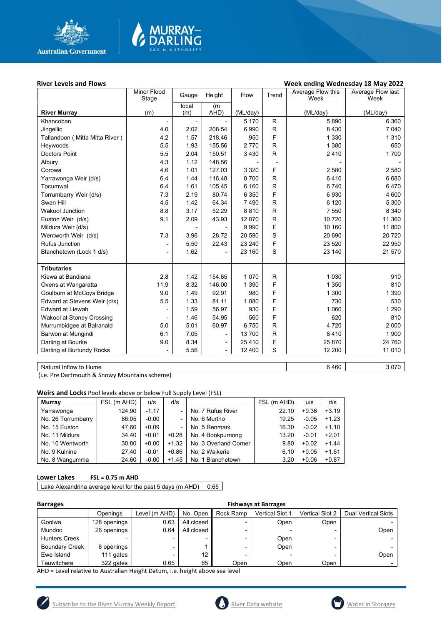

# **MURRAY-<br>DARLING**

## **River Levels and Flows River Levels and Flows River Levels and Flows Week ending Wednesday 18 May 2022**

|                                  | Minor Flood<br>Stage     | Gauge                    | Height                   | Flow     | Trend        | Average Flow this<br>Week | Average Flow last<br>Week |
|----------------------------------|--------------------------|--------------------------|--------------------------|----------|--------------|---------------------------|---------------------------|
|                                  |                          | local                    | (m                       |          |              |                           |                           |
| <b>River Murray</b>              | (m)                      | (m)                      | AHD)                     | (ML/day) |              | (ML/day)                  | (ML/day)                  |
| Khancoban                        |                          |                          |                          | 5 1 7 0  | R            | 5890                      | 6 3 6 0                   |
| Jingellic                        | 4.0                      | 2.02                     | 208.54                   | 6990     | R            | 8 4 3 0                   | 7 0 4 0                   |
| Tallandoon ( Mitta Mitta River ) | 4.2                      | 1.57                     | 218.46                   | 950      | F            | 1 3 3 0                   | 1 3 1 0                   |
| Heywoods                         | 5.5                      | 1.93                     | 155.56                   | 2770     | $\mathsf{R}$ | 1 3 8 0                   | 650                       |
| <b>Doctors Point</b>             | 5.5                      | 2.04                     | 150.51                   | 3 4 3 0  | R            | 2410                      | 1700                      |
| Albury                           | 4.3                      | 1.12                     | 148.56                   |          |              |                           |                           |
| Corowa                           | 4.6                      | 1.01                     | 127.03                   | 3 3 2 0  | F            | 2 5 8 0                   | 2 5 8 0                   |
| Yarrawonga Weir (d/s)            | 6.4                      | 1.44                     | 116.48                   | 8700     | $\mathsf{R}$ | 6410                      | 6680                      |
| Tocumwal                         | 6.4                      | 1.61                     | 105.45                   | 6 160    | R            | 6740                      | 6470                      |
| Torrumbarry Weir (d/s)           | 7.3                      | 2.19                     | 80.74                    | 6 3 5 0  | F            | 6930                      | 4 600                     |
| Swan Hill                        | 4.5                      | 1.42                     | 64.34                    | 7490     | R.           | 6 1 2 0                   | 5 300                     |
| <b>Wakool Junction</b>           | 8.8                      | 3.17                     | 52.29                    | 8810     | $\mathsf{R}$ | 7 5 5 0                   | 8 3 4 0                   |
| Euston Weir (d/s)                | 9.1                      | 2.09                     | 43.93                    | 12 070   | $\mathsf{R}$ | 10 720                    | 11 360                    |
| Mildura Weir (d/s)               |                          | $\overline{\phantom{a}}$ |                          | 9990     | F            | 10 160                    | 11 800                    |
| Wentworth Weir (d/s)             | 7.3                      | 3.96                     | 28.72                    | 20 590   | S            | 20 690                    | 20 7 20                   |
| <b>Rufus Junction</b>            | $\overline{\phantom{a}}$ | 5.50                     | 22.43                    | 23 240   | F            | 23 5 20                   | 22 950                    |
| Blanchetown (Lock 1 d/s)         | $\overline{\phantom{a}}$ | 1.62                     |                          | 23 160   | S            | 23 140                    | 21 570                    |
|                                  |                          |                          |                          |          |              |                           |                           |
| <b>Tributaries</b>               |                          |                          |                          |          |              |                           |                           |
| Kiewa at Bandiana                | 2.8                      | 1.42                     | 154.65                   | 1 0 7 0  | R            | 1 0 3 0                   | 910                       |
| Ovens at Wangaratta              | 11.9                     | 8.32                     | 146.00                   | 1 3 9 0  | F            | 1 3 5 0                   | 810                       |
| Goulburn at McCoys Bridge        | 9.0                      | 1.49                     | 92.91                    | 980      | F            | 1 300                     | 1 3 9 0                   |
| Edward at Stevens Weir (d/s)     | 5.5                      | 1.33                     | 81.11                    | 1 0 8 0  | F            | 730                       | 530                       |
| <b>Edward at Liewah</b>          | $\overline{a}$           | 1.59                     | 56.97                    | 930      | F            | 1 0 6 0                   | 1 2 9 0                   |
| Wakool at Stoney Crossing        |                          | 1.46                     | 54.95                    | 560      | F            | 620                       | 810                       |
| Murrumbidgee at Balranald        | 5.0                      | 5.01                     | 60.97                    | 6750     | $\mathsf{R}$ | 4 7 2 0                   | 2 0 0 0                   |
| Barwon at Mungindi               | 6.1                      | 7.05                     | $\overline{\phantom{a}}$ | 13700    | R            | 8410                      | 1 900                     |
| Darling at Bourke                | 9.0                      | 8.34                     | $\overline{\phantom{a}}$ | 25 4 10  | F            | 25 870                    | 24 760                    |
| Darling at Burtundy Rocks        |                          | 5.56                     |                          | 12 400   | S            | 12 200                    | 11 010                    |
|                                  |                          |                          |                          |          |              |                           |                           |

Natural Inflow to Hume 3 070

(i.e. Pre Dartmouth & Snowy Mountains scheme)

**Weirs and Locks** Pool levels above or below Full Supply Level (FSL)

| Murray             | FSL (m AHD) | u/s     | d/s     |                       | FSL (m AHD) | u/s     | d/s     |
|--------------------|-------------|---------|---------|-----------------------|-------------|---------|---------|
| Yarrawonga         | 124.90      | $-1.17$ |         | No. 7 Rufus River     | 22.10       | $+0.36$ | $+3.19$ |
| No. 26 Torrumbarry | 86.05       | $-0.00$ |         | No. 6 Murtho          | 19.25       | $-0.05$ | $+1.23$ |
| No. 15 Euston      | 47.60       | $+0.09$ |         | No. 5 Renmark         | 16.30       | $-0.02$ | $+1.10$ |
| No. 11 Mildura     | 34.40       | $+0.01$ | $+0.28$ | No. 4 Bookpurnong     | 13.20       | $-0.01$ | $+2.01$ |
| No. 10 Wentworth   | 30.80       | $+0.00$ | $+1.32$ | No. 3 Overland Corner | 9.80        | $+0.02$ | $+1.44$ |
| No. 9 Kulnine      | 27.40       | $-0.01$ | $+0.86$ | No. 2 Waikerie        | 6.10        | $+0.05$ | $+1.51$ |
| No. 8 Wangumma     | 24.60       | $-0.00$ | $+1.45$ | No. 1 Blanchetown     | 3.20        | $+0.06$ | $+0.87$ |

## **Lower Lakes FSL = 0.75 m AHD**

Lake Alexandrina average level for the past 5 days (m AHD)  $\Big| 0.65 \Big|$ 

| <b>Barrages</b>       |              |                          |            |           |                        |                        |                            |
|-----------------------|--------------|--------------------------|------------|-----------|------------------------|------------------------|----------------------------|
|                       | Openings     | Level (m AHD)            | No. Open   | Rock Ramp | <b>Vertical Slot 1</b> | <b>Vertical Slot 2</b> | <b>Dual Vertical Slots</b> |
| Goolwa                | 128 openings | 0.63                     | All closed |           | Open                   | Open                   |                            |
| Mundoo                | 26 openings  | 0.64                     | All closed |           |                        |                        | Open                       |
| <b>Hunters Creek</b>  |              | -                        | -          |           | Open                   |                        |                            |
| <b>Boundary Creek</b> | 6 openings   | $\overline{\phantom{0}}$ |            |           | Open                   |                        |                            |
| Ewe Island            | 111 gates    | $\overline{\phantom{0}}$ | 12         |           | -                      |                        | Open                       |
| Tauwitchere           | 322 gates    | 0.65                     | 65         | Open      | Open                   | Open                   |                            |

AHD = Level relative to Australian Height Datum, i.e. height above sea level

Í